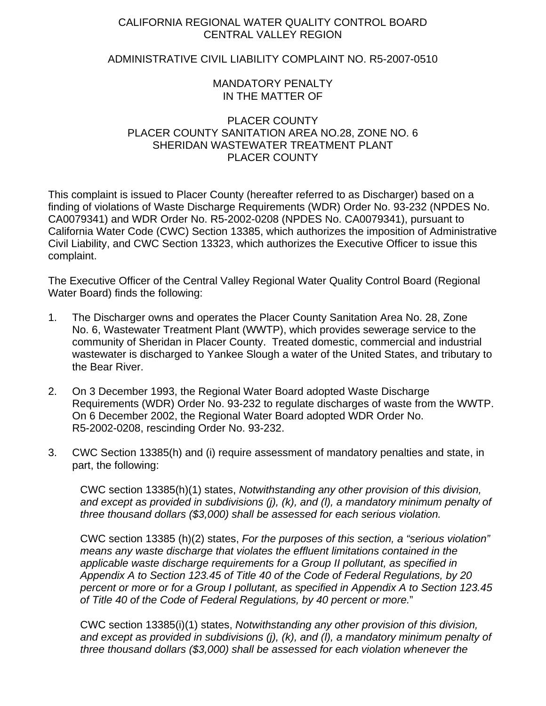## CALIFORNIA REGIONAL WATER QUALITY CONTROL BOARD CENTRAL VALLEY REGION

## ADMINISTRATIVE CIVIL LIABILITY COMPLAINT NO. R5-2007-0510

## MANDATORY PENALTY IN THE MATTER OF

## PLACER COUNTY PLACER COUNTY SANITATION AREA NO.28, ZONE NO. 6 SHERIDAN WASTEWATER TREATMENT PLANT PLACER COUNTY

This complaint is issued to Placer County (hereafter referred to as Discharger) based on a finding of violations of Waste Discharge Requirements (WDR) Order No. 93-232 (NPDES No. CA0079341) and WDR Order No. R5-2002-0208 (NPDES No. CA0079341), pursuant to California Water Code (CWC) Section 13385, which authorizes the imposition of Administrative Civil Liability, and CWC Section 13323, which authorizes the Executive Officer to issue this complaint.

The Executive Officer of the Central Valley Regional Water Quality Control Board (Regional Water Board) finds the following:

- 1. The Discharger owns and operates the Placer County Sanitation Area No. 28, Zone No. 6, Wastewater Treatment Plant (WWTP), which provides sewerage service to the community of Sheridan in Placer County. Treated domestic, commercial and industrial wastewater is discharged to Yankee Slough a water of the United States, and tributary to the Bear River.
- 2. On 3 December 1993, the Regional Water Board adopted Waste Discharge Requirements (WDR) Order No. 93-232 to regulate discharges of waste from the WWTP. On 6 December 2002, the Regional Water Board adopted WDR Order No. R5-2002-0208, rescinding Order No. 93-232.
- 3. CWC Section 13385(h) and (i) require assessment of mandatory penalties and state, in part, the following:

CWC section 13385(h)(1) states, *Notwithstanding any other provision of this division, and except as provided in subdivisions (j), (k), and (l), a mandatory minimum penalty of three thousand dollars (\$3,000) shall be assessed for each serious violation.* 

CWC section 13385 (h)(2) states, *For the purposes of this section, a "serious violation" means any waste discharge that violates the effluent limitations contained in the applicable waste discharge requirements for a Group II pollutant, as specified in Appendix A to Section 123.45 of Title 40 of the Code of Federal Regulations, by 20 percent or more or for a Group I pollutant, as specified in Appendix A to Section 123.45 of Title 40 of the Code of Federal Regulations, by 40 percent or more.*"

CWC section 13385(i)(1) states, *Notwithstanding any other provision of this division, and except as provided in subdivisions (j), (k), and (l), a mandatory minimum penalty of three thousand dollars (\$3,000) shall be assessed for each violation whenever the*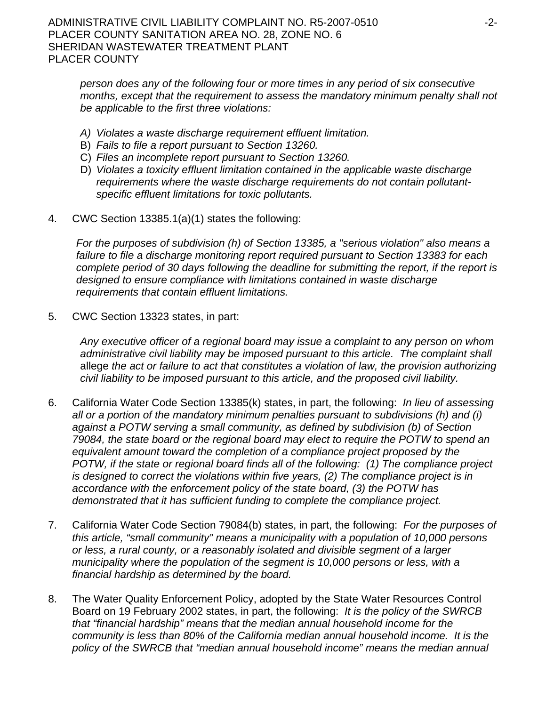*person does any of the following four or more times in any period of six consecutive months, except that the requirement to assess the mandatory minimum penalty shall not be applicable to the first three violations:*

- *A) Violates a waste discharge requirement effluent limitation.*
- B) *Fails to file a report pursuant to Section 13260.*
- C) *Files an incomplete report pursuant to Section 13260.*
- D) *Violates a toxicity effluent limitation contained in the applicable waste discharge requirements where the waste discharge requirements do not contain pollutantspecific effluent limitations for toxic pollutants.*
- 4. CWC Section 13385.1(a)(1) states the following:

*For the purposes of subdivision (h) of Section 13385, a "serious violation" also means a failure to file a discharge monitoring report required pursuant to Section 13383 for each complete period of 30 days following the deadline for submitting the report, if the report is designed to ensure compliance with limitations contained in waste discharge requirements that contain effluent limitations.* 

5. CWC Section 13323 states, in part:

*Any executive officer of a regional board may issue a complaint to any person on whom administrative civil liability may be imposed pursuant to this article. The complaint shall*  allege *the act or failure to act that constitutes a violation of law, the provision authorizing civil liability to be imposed pursuant to this article, and the proposed civil liability.*

- 6. California Water Code Section 13385(k) states, in part, the following: *In lieu of assessing all or a portion of the mandatory minimum penalties pursuant to subdivisions (h) and (i)*  against a POTW serving a small community, as defined by subdivision (b) of Section *79084, the state board or the regional board may elect to require the POTW to spend an*  equivalent amount toward the completion of a compliance project proposed by the *POTW, if the state or regional board finds all of the following: (1) The compliance project is designed to correct the violations within five years, (2) The compliance project is in accordance with the enforcement policy of the state board, (3) the POTW has demonstrated that it has sufficient funding to complete the compliance project.*
- 7. California Water Code Section 79084(b) states, in part, the following: *For the purposes of this article, "small community" means a municipality with a population of 10,000 persons or less, a rural county, or a reasonably isolated and divisible segment of a larger municipality where the population of the segment is 10,000 persons or less, with a financial hardship as determined by the board.*
- 8. The Water Quality Enforcement Policy, adopted by the State Water Resources Control Board on 19 February 2002 states, in part, the following: *It is the policy of the SWRCB that "financial hardship" means that the median annual household income for the community is less than 80% of the California median annual household income. It is the policy of the SWRCB that "median annual household income" means the median annual*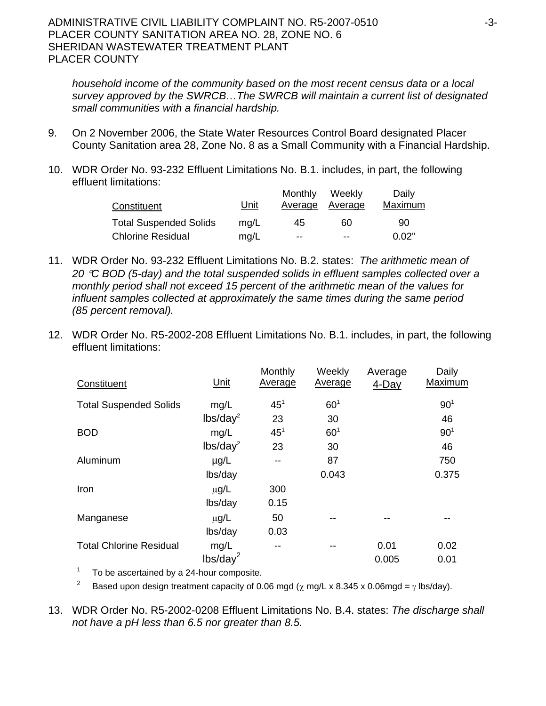*household income of the community based on the most recent census data or a local survey approved by the SWRCB…The SWRCB will maintain a current list of designated small communities with a financial hardship.*

- 9. On 2 November 2006, the State Water Resources Control Board designated Placer County Sanitation area 28, Zone No. 8 as a Small Community with a Financial Hardship.
- 10. WDR Order No. 93-232 Effluent Limitations No. B.1. includes, in part, the following effluent limitations:

|                               |             | Monthly | Weekly         | Daily          |
|-------------------------------|-------------|---------|----------------|----------------|
| Constituent                   | <u>Unit</u> | Average | <b>Average</b> | <b>Maximum</b> |
| <b>Total Suspended Solids</b> | mg/L        | 45      | 60             | 90             |
| <b>Chlorine Residual</b>      | mq/L        | --      | --             | 0.02"          |

- 11. WDR Order No. 93-232 Effluent Limitations No. B.2. states: *The arithmetic mean of 20* °*C BOD (5-day) and the total suspended solids in effluent samples collected over a monthly period shall not exceed 15 percent of the arithmetic mean of the values for influent samples collected at approximately the same times during the same period (85 percent removal).*
- 12. WDR Order No. R5-2002-208 Effluent Limitations No. B.1. includes, in part, the following effluent limitations:

| Constituent                    | Unit                 | Monthly<br>Average | Weekly<br><b>Average</b> | Average<br>4-Day | Daily<br>Maximum |
|--------------------------------|----------------------|--------------------|--------------------------|------------------|------------------|
| <b>Total Suspended Solids</b>  | mg/L                 | 45 <sup>1</sup>    | 60 <sup>1</sup>          |                  | 90 <sup>1</sup>  |
|                                | lbs/day <sup>2</sup> | 23                 | 30                       |                  | 46               |
| <b>BOD</b>                     | mg/L                 | 45 <sup>1</sup>    | 60 <sup>1</sup>          |                  | 90 <sup>1</sup>  |
|                                | lbs/day <sup>2</sup> | 23                 | 30                       |                  | 46               |
| Aluminum                       | $\mu$ g/L            |                    | 87                       |                  | 750              |
|                                | lbs/day              |                    | 0.043                    |                  | 0.375            |
| Iron                           | $\mu$ g/L            | 300                |                          |                  |                  |
|                                | lbs/day              | 0.15               |                          |                  |                  |
| Manganese                      | $\mu$ g/L            | 50                 |                          |                  |                  |
|                                | lbs/day              | 0.03               |                          |                  |                  |
| <b>Total Chlorine Residual</b> | mg/L                 | --                 |                          | 0.01             | 0.02             |
|                                | lbs/day <sup>2</sup> |                    |                          | 0.005            | 0.01             |

 $1$  To be ascertained by a 24-hour composite.

<sup>2</sup> Based upon design treatment capacity of 0.06 mgd ( $\chi$  mg/L x 8.345 x 0.06mgd =  $\gamma$  lbs/day).

13. WDR Order No. R5-2002-0208 Effluent Limitations No. B.4. states: *The discharge shall not have a pH less than 6.5 nor greater than 8.5.*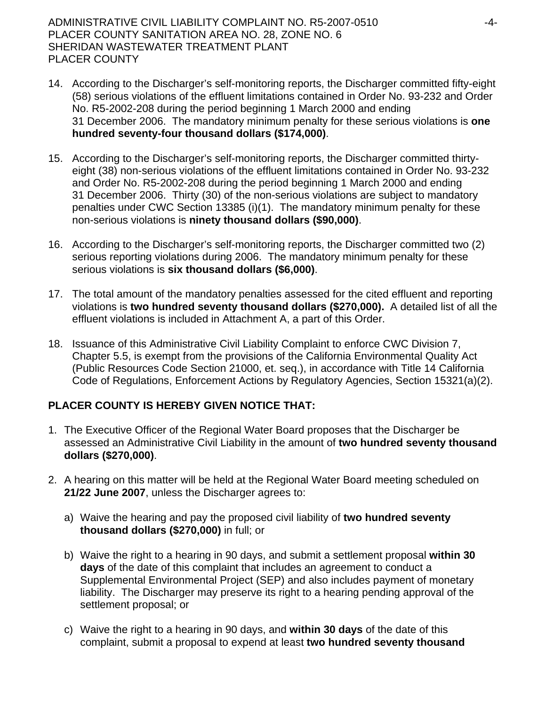- 14. According to the Discharger's self-monitoring reports, the Discharger committed fifty-eight (58) serious violations of the effluent limitations contained in Order No. 93-232 and Order No. R5-2002-208 during the period beginning 1 March 2000 and ending 31 December 2006. The mandatory minimum penalty for these serious violations is **one hundred seventy-four thousand dollars (\$174,000)**.
- 15. According to the Discharger's self-monitoring reports, the Discharger committed thirtyeight (38) non-serious violations of the effluent limitations contained in Order No. 93-232 and Order No. R5-2002-208 during the period beginning 1 March 2000 and ending 31 December 2006. Thirty (30) of the non-serious violations are subject to mandatory penalties under CWC Section 13385 (i)(1). The mandatory minimum penalty for these non-serious violations is **ninety thousand dollars (\$90,000)**.
- 16. According to the Discharger's self-monitoring reports, the Discharger committed two (2) serious reporting violations during 2006. The mandatory minimum penalty for these serious violations is **six thousand dollars (\$6,000)**.
- 17. The total amount of the mandatory penalties assessed for the cited effluent and reporting violations is **two hundred seventy thousand dollars (\$270,000).** A detailed list of all the effluent violations is included in Attachment A, a part of this Order.
- 18. Issuance of this Administrative Civil Liability Complaint to enforce CWC Division 7, Chapter 5.5, is exempt from the provisions of the California Environmental Quality Act (Public Resources Code Section 21000, et. seq.), in accordance with Title 14 California Code of Regulations, Enforcement Actions by Regulatory Agencies, Section 15321(a)(2).

## **PLACER COUNTY IS HEREBY GIVEN NOTICE THAT:**

- 1. The Executive Officer of the Regional Water Board proposes that the Discharger be assessed an Administrative Civil Liability in the amount of **two hundred seventy thousand dollars (\$270,000)**.
- 2. A hearing on this matter will be held at the Regional Water Board meeting scheduled on **21/22 June 2007**, unless the Discharger agrees to:
	- a) Waive the hearing and pay the proposed civil liability of **two hundred seventy thousand dollars (\$270,000)** in full; or
	- b) Waive the right to a hearing in 90 days, and submit a settlement proposal **within 30 days** of the date of this complaint that includes an agreement to conduct a Supplemental Environmental Project (SEP) and also includes payment of monetary liability. The Discharger may preserve its right to a hearing pending approval of the settlement proposal; or
	- c) Waive the right to a hearing in 90 days, and **within 30 days** of the date of this complaint, submit a proposal to expend at least **two hundred seventy thousand**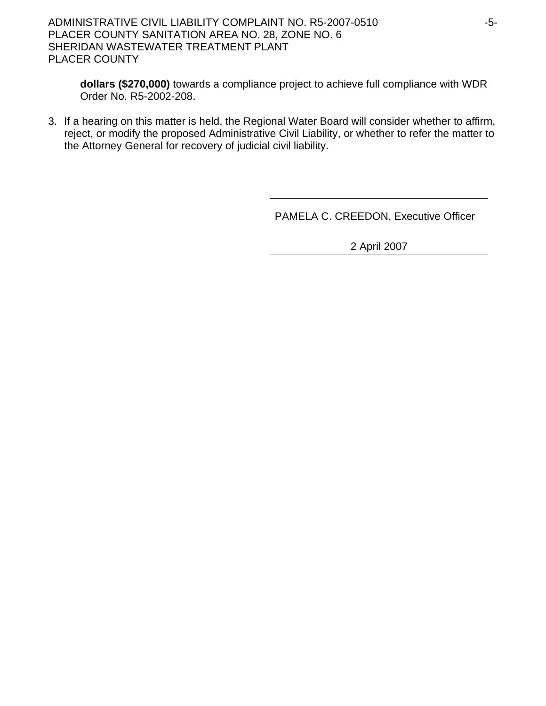ADMINISTRATIVE CIVIL LIABILITY COMPLAINT NO. R5-2007-0510 -5- PLACER COUNTY SANITATION AREA NO. 28, ZONE NO. 6 SHERIDAN WASTEWATER TREATMENT PLANT PLACER COUNTY

**dollars (\$270,000)** towards a compliance project to achieve full compliance with WDR Order No. R5-2002-208.

3. If a hearing on this matter is held, the Regional Water Board will consider whether to affirm, reject, or modify the proposed Administrative Civil Liability, or whether to refer the matter to the Attorney General for recovery of judicial civil liability.

PAMELA C. CREEDON, Executive Officer

2 April 2007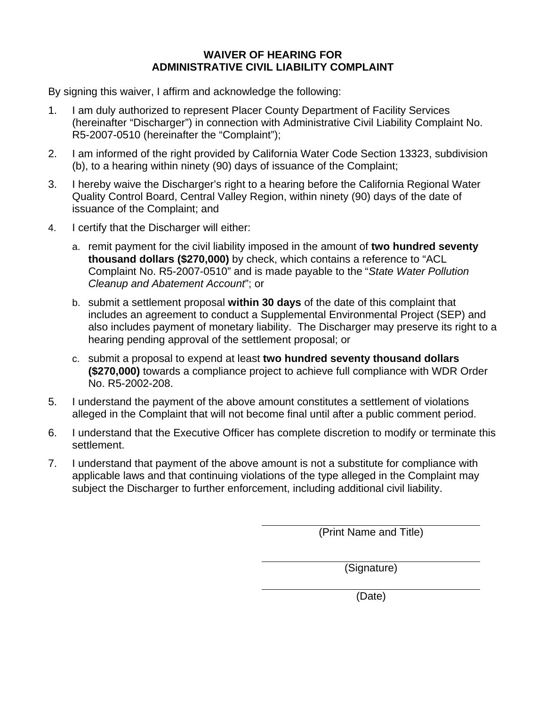## **WAIVER OF HEARING FOR ADMINISTRATIVE CIVIL LIABILITY COMPLAINT**

By signing this waiver, I affirm and acknowledge the following:

- 1. I am duly authorized to represent Placer County Department of Facility Services (hereinafter "Discharger") in connection with Administrative Civil Liability Complaint No. R5-2007-0510 (hereinafter the "Complaint");
- 2. I am informed of the right provided by California Water Code Section 13323, subdivision (b), to a hearing within ninety (90) days of issuance of the Complaint;
- 3. I hereby waive the Discharger's right to a hearing before the California Regional Water Quality Control Board, Central Valley Region, within ninety (90) days of the date of issuance of the Complaint; and
- 4. I certify that the Discharger will either:
	- a. remit payment for the civil liability imposed in the amount of **two hundred seventy thousand dollars (\$270,000)** by check, which contains a reference to "ACL Complaint No. R5-2007-0510" and is made payable to the "*State Water Pollution Cleanup and Abatement Account*"; or
	- b. submit a settlement proposal **within 30 days** of the date of this complaint that includes an agreement to conduct a Supplemental Environmental Project (SEP) and also includes payment of monetary liability. The Discharger may preserve its right to a hearing pending approval of the settlement proposal; or
	- c. submit a proposal to expend at least **two hundred seventy thousand dollars (\$270,000)** towards a compliance project to achieve full compliance with WDR Order No. R5-2002-208.
- 5. I understand the payment of the above amount constitutes a settlement of violations alleged in the Complaint that will not become final until after a public comment period.
- 6. I understand that the Executive Officer has complete discretion to modify or terminate this settlement.
- 7. I understand that payment of the above amount is not a substitute for compliance with applicable laws and that continuing violations of the type alleged in the Complaint may subject the Discharger to further enforcement, including additional civil liability.

(Print Name and Title)

(Signature)

(Date)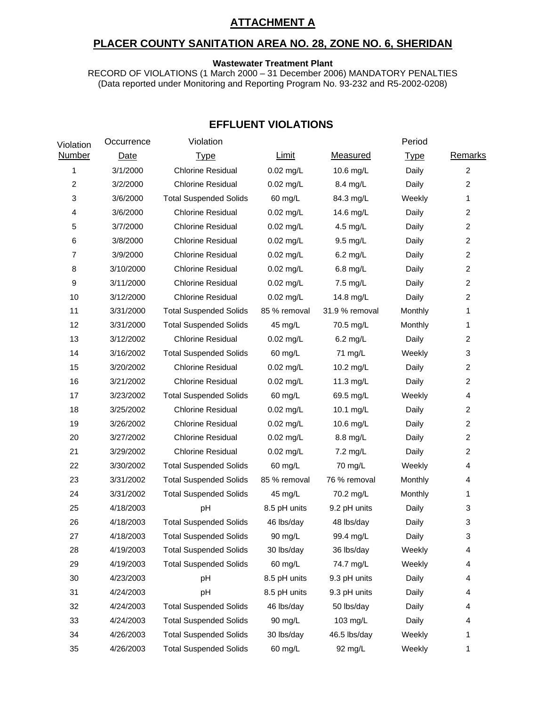## **ATTACHMENT A**

### **PLACER COUNTY SANITATION AREA NO. 28, ZONE NO. 6, SHERIDAN**

#### **Wastewater Treatment Plant**

RECORD OF VIOLATIONS (1 March 2000 – 31 December 2006) MANDATORY PENALTIES (Data reported under Monitoring and Reporting Program No. 93-232 and R5-2002-0208)

| Violation      | Occurrence  | Violation                     |              |                 | Period      |                |
|----------------|-------------|-------------------------------|--------------|-----------------|-------------|----------------|
| <b>Number</b>  | <b>Date</b> | <b>Type</b>                   | <b>Limit</b> | <b>Measured</b> | <b>Type</b> | <b>Remarks</b> |
| 1              | 3/1/2000    | <b>Chlorine Residual</b>      | $0.02$ mg/L  | 10.6 mg/L       | Daily       | $\overline{2}$ |
| $\overline{c}$ | 3/2/2000    | <b>Chlorine Residual</b>      | $0.02$ mg/L  | 8.4 mg/L        | Daily       | $\overline{2}$ |
| 3              | 3/6/2000    | <b>Total Suspended Solids</b> | 60 mg/L      | 84.3 mg/L       | Weekly      | 1              |
| 4              | 3/6/2000    | <b>Chlorine Residual</b>      | $0.02$ mg/L  | 14.6 mg/L       | Daily       | $\overline{2}$ |
| 5              | 3/7/2000    | <b>Chlorine Residual</b>      | $0.02$ mg/L  | 4.5 mg/L        | Daily       | $\overline{c}$ |
| 6              | 3/8/2000    | <b>Chlorine Residual</b>      | $0.02$ mg/L  | 9.5 mg/L        | Daily       | $\overline{2}$ |
| 7              | 3/9/2000    | <b>Chlorine Residual</b>      | $0.02$ mg/L  | 6.2 mg/L        | Daily       | $\overline{2}$ |
| 8              | 3/10/2000   | <b>Chlorine Residual</b>      | $0.02$ mg/L  | 6.8 mg/L        | Daily       | $\overline{c}$ |
| 9              | 3/11/2000   | <b>Chlorine Residual</b>      | $0.02$ mg/L  | 7.5 mg/L        | Daily       | $\overline{2}$ |
| 10             | 3/12/2000   | <b>Chlorine Residual</b>      | $0.02$ mg/L  | 14.8 mg/L       | Daily       | $\overline{2}$ |
| 11             | 3/31/2000   | <b>Total Suspended Solids</b> | 85 % removal | 31.9 % removal  | Monthly     | 1              |
| 12             | 3/31/2000   | <b>Total Suspended Solids</b> | 45 mg/L      | 70.5 mg/L       | Monthly     | 1              |
| 13             | 3/12/2002   | <b>Chlorine Residual</b>      | $0.02$ mg/L  | $6.2$ mg/L      | Daily       | $\overline{2}$ |
| 14             | 3/16/2002   | <b>Total Suspended Solids</b> | 60 mg/L      | 71 mg/L         | Weekly      | 3              |
| 15             | 3/20/2002   | <b>Chlorine Residual</b>      | $0.02$ mg/L  | 10.2 mg/L       | Daily       | $\overline{2}$ |
| 16             | 3/21/2002   | <b>Chlorine Residual</b>      | $0.02$ mg/L  | 11.3 mg/L       | Daily       | $\overline{c}$ |
| 17             | 3/23/2002   | <b>Total Suspended Solids</b> | 60 mg/L      | 69.5 mg/L       | Weekly      | 4              |
| 18             | 3/25/2002   | <b>Chlorine Residual</b>      | $0.02$ mg/L  | 10.1 mg/L       | Daily       | $\overline{2}$ |
| 19             | 3/26/2002   | <b>Chlorine Residual</b>      | 0.02 mg/L    | 10.6 mg/L       | Daily       | $\overline{c}$ |
| 20             | 3/27/2002   | <b>Chlorine Residual</b>      | $0.02$ mg/L  | 8.8 mg/L        | Daily       | $\overline{2}$ |
| 21             | 3/29/2002   | <b>Chlorine Residual</b>      | $0.02$ mg/L  | 7.2 mg/L        | Daily       | $\overline{2}$ |
| 22             | 3/30/2002   | <b>Total Suspended Solids</b> | 60 mg/L      | 70 mg/L         | Weekly      | 4              |
| 23             | 3/31/2002   | <b>Total Suspended Solids</b> | 85 % removal | 76 % removal    | Monthly     | 4              |
| 24             | 3/31/2002   | <b>Total Suspended Solids</b> | 45 mg/L      | 70.2 mg/L       | Monthly     | 1              |
| 25             | 4/18/2003   | pH                            | 8.5 pH units | 9.2 pH units    | Daily       | 3              |
| 26             | 4/18/2003   | <b>Total Suspended Solids</b> | 46 lbs/day   | 48 lbs/day      | Daily       | 3              |
| 27             | 4/18/2003   | <b>Total Suspended Solids</b> | 90 mg/L      | 99.4 mg/L       | Daily       | 3              |
| 28             | 4/19/2003   | <b>Total Suspended Solids</b> | 30 lbs/day   | 36 lbs/day      | Weekly      | 4              |
| 29             | 4/19/2003   | <b>Total Suspended Solids</b> | 60 mg/L      | 74.7 mg/L       | Weekly      | 4              |
| 30             | 4/23/2003   | pH                            | 8.5 pH units | 9.3 pH units    | Daily       | 4              |
| 31             | 4/24/2003   | pH                            | 8.5 pH units | 9.3 pH units    | Daily       | 4              |
| 32             | 4/24/2003   | <b>Total Suspended Solids</b> | 46 lbs/day   | 50 lbs/day      | Daily       | 4              |
| 33             | 4/24/2003   | <b>Total Suspended Solids</b> | 90 mg/L      | 103 mg/L        | Daily       | 4              |
| 34             | 4/26/2003   | <b>Total Suspended Solids</b> | 30 lbs/day   | 46.5 lbs/day    | Weekly      | 1              |
| 35             | 4/26/2003   | <b>Total Suspended Solids</b> | 60 mg/L      | 92 mg/L         | Weekly      | 1              |

## **EFFLUENT VIOLATIONS**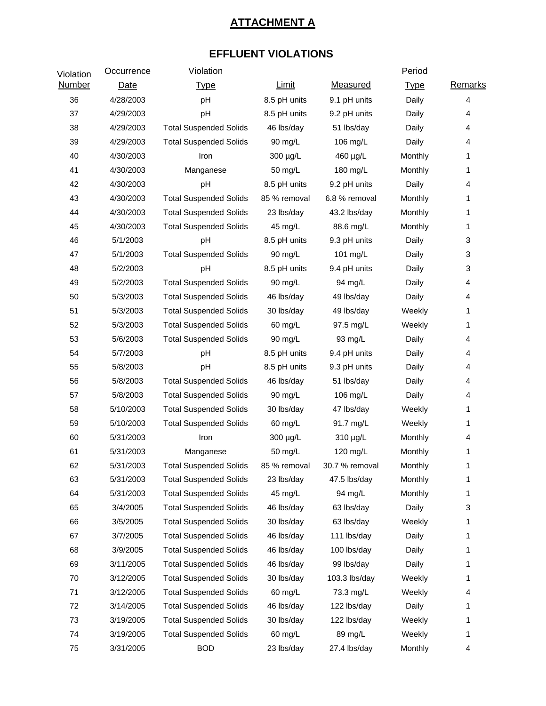# **ATTACHMENT A**

# **EFFLUENT VIOLATIONS**

| Violation     | Occurrence | Violation                     |              |                 | Period      |         |
|---------------|------------|-------------------------------|--------------|-----------------|-------------|---------|
| <b>Number</b> | Date       | <b>Type</b>                   | <b>Limit</b> | <b>Measured</b> | <b>Type</b> | Remarks |
| 36            | 4/28/2003  | pH                            | 8.5 pH units | 9.1 pH units    | Daily       | 4       |
| 37            | 4/29/2003  | pH                            | 8.5 pH units | 9.2 pH units    | Daily       | 4       |
| 38            | 4/29/2003  | <b>Total Suspended Solids</b> | 46 lbs/day   | 51 lbs/day      | Daily       | 4       |
| 39            | 4/29/2003  | <b>Total Suspended Solids</b> | 90 mg/L      | 106 mg/L        | Daily       | 4       |
| 40            | 4/30/2003  | Iron                          | 300 µg/L     | 460 µg/L        | Monthly     | 1       |
| 41            | 4/30/2003  | Manganese                     | 50 mg/L      | 180 mg/L        | Monthly     | 1       |
| 42            | 4/30/2003  | pH                            | 8.5 pH units | 9.2 pH units    | Daily       | 4       |
| 43            | 4/30/2003  | <b>Total Suspended Solids</b> | 85 % removal | 6.8 % removal   | Monthly     | 1       |
| 44            | 4/30/2003  | <b>Total Suspended Solids</b> | 23 lbs/day   | 43.2 lbs/day    | Monthly     | 1       |
| 45            | 4/30/2003  | <b>Total Suspended Solids</b> | 45 mg/L      | 88.6 mg/L       | Monthly     | 1       |
| 46            | 5/1/2003   | pH                            | 8.5 pH units | 9.3 pH units    | Daily       | 3       |
| 47            | 5/1/2003   | <b>Total Suspended Solids</b> | 90 mg/L      | 101 mg/L        | Daily       | 3       |
| 48            | 5/2/2003   | pH                            | 8.5 pH units | 9.4 pH units    | Daily       | 3       |
| 49            | 5/2/2003   | <b>Total Suspended Solids</b> | 90 mg/L      | 94 mg/L         | Daily       | 4       |
| 50            | 5/3/2003   | <b>Total Suspended Solids</b> | 46 lbs/day   | 49 lbs/day      | Daily       | 4       |
| 51            | 5/3/2003   | <b>Total Suspended Solids</b> | 30 lbs/day   | 49 lbs/day      | Weekly      | 1       |
| 52            | 5/3/2003   | <b>Total Suspended Solids</b> | 60 mg/L      | 97.5 mg/L       | Weekly      | 1       |
| 53            | 5/6/2003   | <b>Total Suspended Solids</b> | 90 mg/L      | 93 mg/L         | Daily       | 4       |
| 54            | 5/7/2003   | pH                            | 8.5 pH units | 9.4 pH units    | Daily       | 4       |
| 55            | 5/8/2003   | pH                            | 8.5 pH units | 9.3 pH units    | Daily       | 4       |
| 56            | 5/8/2003   | <b>Total Suspended Solids</b> | 46 lbs/day   | 51 lbs/day      | Daily       | 4       |
| 57            | 5/8/2003   | <b>Total Suspended Solids</b> | 90 mg/L      | 106 mg/L        | Daily       | 4       |
| 58            | 5/10/2003  | <b>Total Suspended Solids</b> | 30 lbs/day   | 47 lbs/day      | Weekly      | 1       |
| 59            | 5/10/2003  | <b>Total Suspended Solids</b> | 60 mg/L      | 91.7 mg/L       | Weekly      | 1       |
| 60            | 5/31/2003  | Iron                          | 300 µg/L     | 310 µg/L        | Monthly     | 4       |
| 61            | 5/31/2003  | Manganese                     | 50 mg/L      | 120 mg/L        | Monthly     | 1       |
| 62            | 5/31/2003  | <b>Total Suspended Solids</b> | 85 % removal | 30.7 % removal  | Monthly     | 1       |
| 63            | 5/31/2003  | <b>Total Suspended Solids</b> | 23 lbs/day   | 47.5 lbs/day    | Monthly     | 1       |
| 64            | 5/31/2003  | <b>Total Suspended Solids</b> | 45 mg/L      | 94 mg/L         | Monthly     | 1       |
| 65            | 3/4/2005   | <b>Total Suspended Solids</b> | 46 lbs/day   | 63 lbs/day      | Daily       | 3       |
| 66            | 3/5/2005   | <b>Total Suspended Solids</b> | 30 lbs/day   | 63 lbs/day      | Weekly      | 1       |
| 67            | 3/7/2005   | <b>Total Suspended Solids</b> | 46 lbs/day   | 111 lbs/day     | Daily       | 1       |
| 68            | 3/9/2005   | <b>Total Suspended Solids</b> | 46 lbs/day   | 100 lbs/day     | Daily       | 1       |
| 69            | 3/11/2005  | <b>Total Suspended Solids</b> | 46 lbs/day   | 99 lbs/day      | Daily       | 1       |
| 70            | 3/12/2005  | <b>Total Suspended Solids</b> | 30 lbs/day   | 103.3 lbs/day   | Weekly      | 1       |
| 71            | 3/12/2005  | <b>Total Suspended Solids</b> | 60 mg/L      | 73.3 mg/L       | Weekly      | 4       |
| 72            | 3/14/2005  | <b>Total Suspended Solids</b> | 46 lbs/day   | 122 lbs/day     | Daily       | 1       |
| 73            | 3/19/2005  | <b>Total Suspended Solids</b> | 30 lbs/day   | 122 lbs/day     | Weekly      | 1       |
| 74            | 3/19/2005  | <b>Total Suspended Solids</b> | 60 mg/L      | 89 mg/L         | Weekly      | 1       |
| 75            | 3/31/2005  | <b>BOD</b>                    | 23 lbs/day   | 27.4 lbs/day    | Monthly     | 4       |